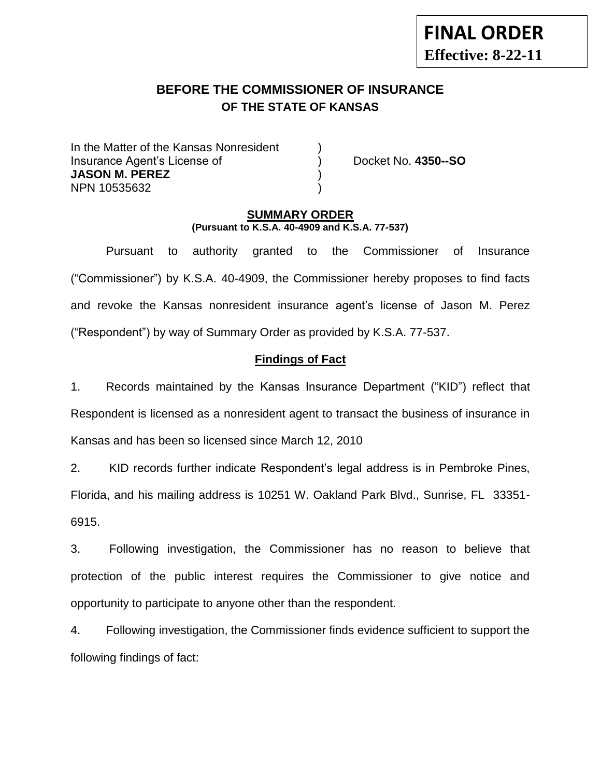# **BEFORE THE COMMISSIONER OF INSURANCE OF THE STATE OF KANSAS**

In the Matter of the Kansas Nonresident Insurance Agent's License of ) Docket No. **4350--SO JASON M. PEREZ** ) NPN 10535632 )

### **SUMMARY ORDER (Pursuant to K.S.A. 40-4909 and K.S.A. 77-537)**

Pursuant to authority granted to the Commissioner of Insurance ("Commissioner") by K.S.A. 40-4909, the Commissioner hereby proposes to find facts and revoke the Kansas nonresident insurance agent's license of Jason M. Perez ("Respondent") by way of Summary Order as provided by K.S.A. 77-537.

## **Findings of Fact**

1. Records maintained by the Kansas Insurance Department ("KID") reflect that Respondent is licensed as a nonresident agent to transact the business of insurance in Kansas and has been so licensed since March 12, 2010

2. KID records further indicate Respondent's legal address is in Pembroke Pines, Florida, and his mailing address is 10251 W. Oakland Park Blvd., Sunrise, FL 33351- 6915.

3. Following investigation, the Commissioner has no reason to believe that protection of the public interest requires the Commissioner to give notice and opportunity to participate to anyone other than the respondent.

4. Following investigation, the Commissioner finds evidence sufficient to support the following findings of fact: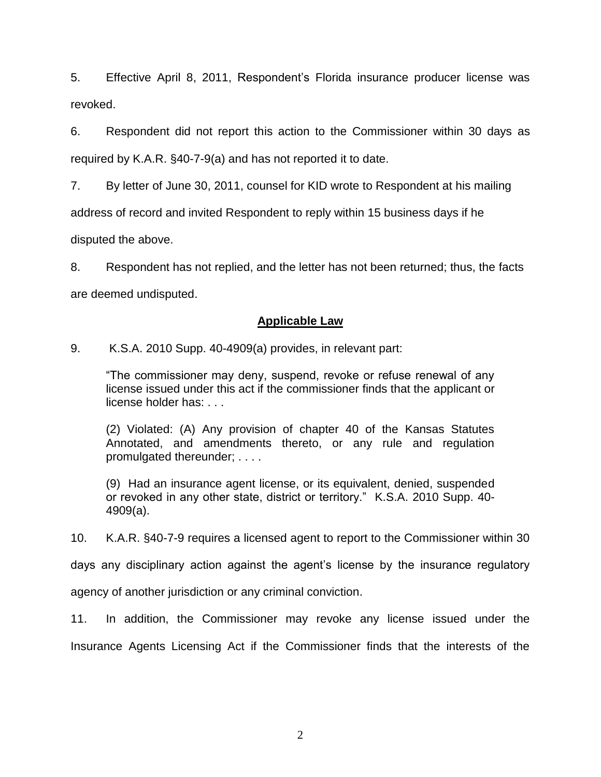5. Effective April 8, 2011, Respondent's Florida insurance producer license was revoked.

6. Respondent did not report this action to the Commissioner within 30 days as required by K.A.R. §40-7-9(a) and has not reported it to date.

7. By letter of June 30, 2011, counsel for KID wrote to Respondent at his mailing

address of record and invited Respondent to reply within 15 business days if he

disputed the above.

8. Respondent has not replied, and the letter has not been returned; thus, the facts are deemed undisputed.

## **Applicable Law**

9. K.S.A. 2010 Supp. 40-4909(a) provides, in relevant part:

"The commissioner may deny, suspend, revoke or refuse renewal of any license issued under this act if the commissioner finds that the applicant or license holder has: . . .

(2) Violated: (A) Any provision of chapter 40 of the Kansas Statutes Annotated, and amendments thereto, or any rule and regulation promulgated thereunder; . . . .

(9) Had an insurance agent license, or its equivalent, denied, suspended or revoked in any other state, district or territory." K.S.A. 2010 Supp. 40- 4909(a).

10. K.A.R. §40-7-9 requires a licensed agent to report to the Commissioner within 30

days any disciplinary action against the agent's license by the insurance regulatory agency of another jurisdiction or any criminal conviction.

11. In addition, the Commissioner may revoke any license issued under the Insurance Agents Licensing Act if the Commissioner finds that the interests of the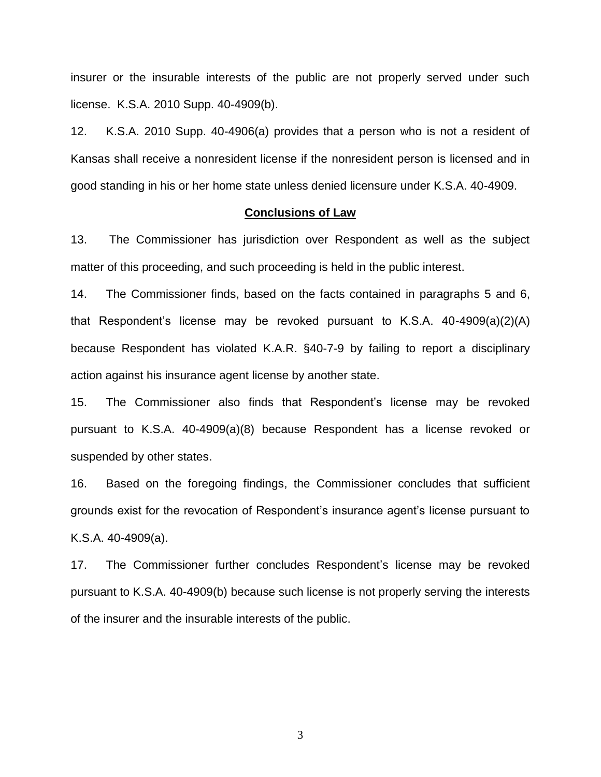insurer or the insurable interests of the public are not properly served under such license. K.S.A. 2010 Supp. 40-4909(b).

12. K.S.A. 2010 Supp. 40-4906(a) provides that a person who is not a resident of Kansas shall receive a nonresident license if the nonresident person is licensed and in good standing in his or her home state unless denied licensure under K.S.A. 40-4909.

#### **Conclusions of Law**

13. The Commissioner has jurisdiction over Respondent as well as the subject matter of this proceeding, and such proceeding is held in the public interest.

14. The Commissioner finds, based on the facts contained in paragraphs 5 and 6, that Respondent's license may be revoked pursuant to K.S.A. 40-4909(a)(2)(A) because Respondent has violated K.A.R. §40-7-9 by failing to report a disciplinary action against his insurance agent license by another state.

15. The Commissioner also finds that Respondent's license may be revoked pursuant to K.S.A. 40-4909(a)(8) because Respondent has a license revoked or suspended by other states.

16. Based on the foregoing findings, the Commissioner concludes that sufficient grounds exist for the revocation of Respondent's insurance agent's license pursuant to K.S.A. 40-4909(a).

17. The Commissioner further concludes Respondent's license may be revoked pursuant to K.S.A. 40-4909(b) because such license is not properly serving the interests of the insurer and the insurable interests of the public.

3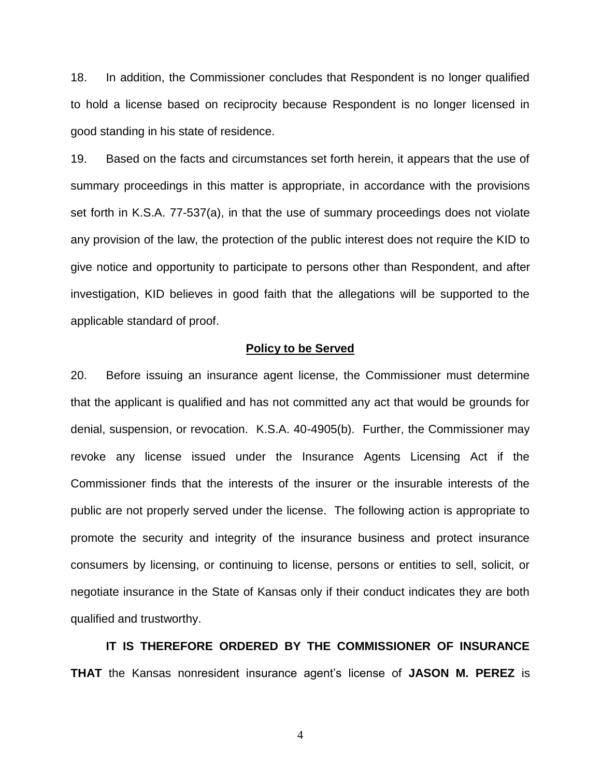18. In addition, the Commissioner concludes that Respondent is no longer qualified to hold a license based on reciprocity because Respondent is no longer licensed in good standing in his state of residence.

19. Based on the facts and circumstances set forth herein, it appears that the use of summary proceedings in this matter is appropriate, in accordance with the provisions set forth in K.S.A. 77-537(a), in that the use of summary proceedings does not violate any provision of the law, the protection of the public interest does not require the KID to give notice and opportunity to participate to persons other than Respondent, and after investigation, KID believes in good faith that the allegations will be supported to the applicable standard of proof.

#### **Policy to be Served**

20. Before issuing an insurance agent license, the Commissioner must determine that the applicant is qualified and has not committed any act that would be grounds for denial, suspension, or revocation. K.S.A. 40-4905(b). Further, the Commissioner may revoke any license issued under the Insurance Agents Licensing Act if the Commissioner finds that the interests of the insurer or the insurable interests of the public are not properly served under the license. The following action is appropriate to promote the security and integrity of the insurance business and protect insurance consumers by licensing, or continuing to license, persons or entities to sell, solicit, or negotiate insurance in the State of Kansas only if their conduct indicates they are both qualified and trustworthy.

**IT IS THEREFORE ORDERED BY THE COMMISSIONER OF INSURANCE THAT** the Kansas nonresident insurance agent's license of **JASON M. PEREZ** is

4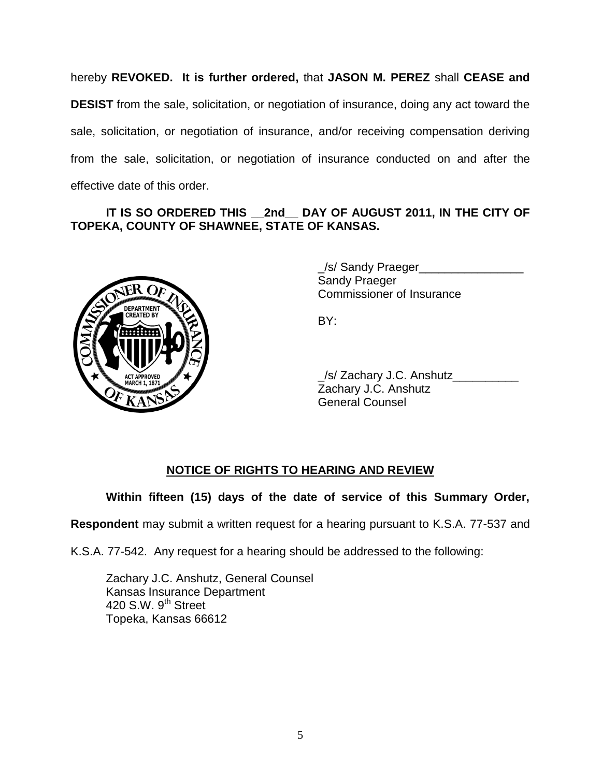hereby **REVOKED. It is further ordered,** that **JASON M. PEREZ** shall **CEASE and DESIST** from the sale, solicitation, or negotiation of insurance, doing any act toward the sale, solicitation, or negotiation of insurance, and/or receiving compensation deriving from the sale, solicitation, or negotiation of insurance conducted on and after the effective date of this order.

### **IT IS SO ORDERED THIS \_\_2nd\_\_ DAY OF AUGUST 2011, IN THE CITY OF TOPEKA, COUNTY OF SHAWNEE, STATE OF KANSAS.**



\_/s/ Sandy Praeger\_\_\_\_\_\_\_\_\_\_\_\_\_\_\_\_ Sandy Praeger Commissioner of Insurance

BY:

\_/s/ Zachary J.C. Anshutz\_\_\_\_\_\_\_\_\_\_ Zachary J.C. Anshutz General Counsel

# **NOTICE OF RIGHTS TO HEARING AND REVIEW**

**Within fifteen (15) days of the date of service of this Summary Order,** 

**Respondent** may submit a written request for a hearing pursuant to K.S.A. 77-537 and

K.S.A. 77-542. Any request for a hearing should be addressed to the following:

Zachary J.C. Anshutz, General Counsel Kansas Insurance Department 420 S.W.  $9<sup>th</sup>$  Street Topeka, Kansas 66612